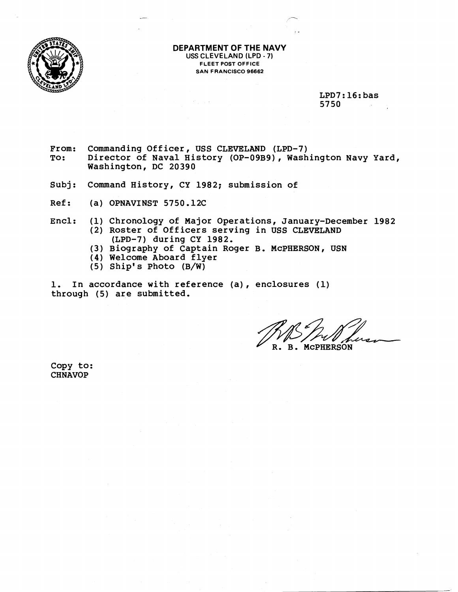

**DEPARTMENT OF THE NAVY USS CLEVELAND (LPD** - **7) FLEET POST OFFICE SAN FRANCISCO 96662** 

> **LPD7: 16: bas 5750**

- **From: Commanding Officer, USS CLEVELAND (LPD-7) To: Director of Naval History (OP-09B9)** , **Washington Navy Yard, Washington, DC 20390**
- **Subj: Command History, CY 1982; submission of**
- **Ref** : **(a) OPNAVINST 5750.12C**
- **Encl: (1) Chronology of Major Operations, January-December 1982 (2) Roster of Officers serving in USS CLEVELAND (LPD-7) during CY 1982.** 
	- **(3) Biography of Captain Roger B. McPHERSON, USN**
	- **(4) Welcome Aboard flyer**
	- **(5) Ship's Photo (B/W)**

**1. In accordance with reference (a)** , **enclosures (1) through (5) are submitted.** 

flvL **R. B. McPHERSON** 

**Copy to: CHNAVOP**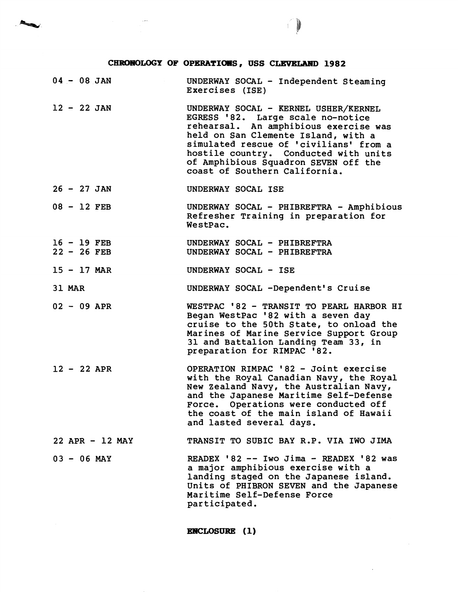## CHRONOLOGY OF OPERATIONS, USS CLEVELAND 1982

 $\blacktriangleleft$ 

 $04 - 08$  JAN UNDERWAY SOCAL - Independent Steaming Exercises (ISE)  $12 - 22$  JAN UNDERWAY SOCAL - KERNEL USHER/KERNEL EGRESS '82. Large scale no-notice rehearsal. An amphibious exercise was held on San Clemente Island, with a simulated rescue of 'civilians' from a hostile country. Conducted with units of Amphibious Squadron SEVEN off the coast of Southern California.  $26 - 27$  JAN UNDERWAY SOCAL ISE <sup>08</sup>- 12 FEB UNDERWAY SOCAL - PHIBREFTRA - Amphibious Refresher Training in preparation for WestPac. <sup>16</sup>- 19 FEB UNDERWAY SOCAL - PHIBREFTRA <sup>22</sup>- 26 FEB UNDERWAY SOCAL - PHIBREFTRA  $15 - 17$  MAR UNDERWAY SOCAL - ISE 31 MAR UNDERWAY SOCAL -Dependent's Cruise <sup>02</sup>- 09 APR WESTPAC '82 - TRANSIT TO PEARL HARBOR HI Began WestPac '82 with a seven day cruise to the 50th State, to onload the Marines of Marine Service Support Group 31 and Battalion Landing Team 33, in preparation for RIMPAC '82. <sup>12</sup>- 22 APR OPERATION RIMPAC '82 - Joint exercise with the Royal Canadian Navy, the Royal New zealand Navy, the Australian Navy, and the Japanese Maritime Self-Defense Force. Operations were conducted off the coast of the main island of Hawaii and lasted several days. 22 APR - 12 MAY TRANSIT TO SUBIC BAY R.P. VIA IWO JIMA <sup>03</sup>- 06 MAY READEX '82 -- Iwo Jima - READEX '82 was a major amphibious exercise with a landing staged on the Japanese island. Units of PHIBRON SEVEN and the Japanese Maritime Self-Defense Force participated.

**ENCLOSURE** (1)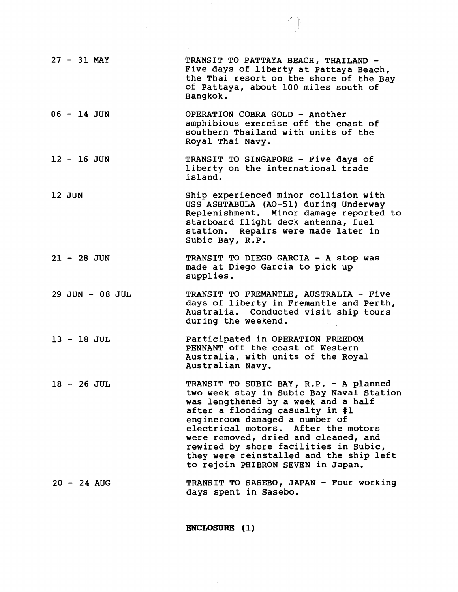| $27 - 31$ MAY   | TRANSIT TO PATTAYA BEACH, THAILAND -<br>Five days of liberty at Pattaya Beach,<br>the Thai resort on the shore of the Bay<br>of Pattaya, about 100 miles south of<br>Bangkok.                                                                                                                                                                                                                          |
|-----------------|--------------------------------------------------------------------------------------------------------------------------------------------------------------------------------------------------------------------------------------------------------------------------------------------------------------------------------------------------------------------------------------------------------|
| $06 - 14$ JUN   | OPERATION COBRA GOLD - Another<br>amphibious exercise off the coast of<br>southern Thailand with units of the<br>Royal Thai Navy.                                                                                                                                                                                                                                                                      |
| $12 - 16$ JUN   | TRANSIT TO SINGAPORE - Five days of<br>liberty on the international trade<br>island.                                                                                                                                                                                                                                                                                                                   |
| 12 JUN          | Ship experienced minor collision with<br>USS ASHTABULA (AO-51) during Underway<br>Replenishment. Minor damage reported to<br>starboard flight deck antenna, fuel<br>station. Repairs were made later in<br>Subic Bay, R.P.                                                                                                                                                                             |
| $21 - 28$ JUN   | TRANSIT TO DIEGO GARCIA - A stop was<br>made at Diego Garcia to pick up<br>supplies.                                                                                                                                                                                                                                                                                                                   |
| 29 JUN - 08 JUL | TRANSIT TO FREMANTLE, AUSTRALIA - Five<br>days of liberty in Fremantle and Perth,<br>Australia. Conducted visit ship tours<br>during the weekend.                                                                                                                                                                                                                                                      |
| $13 - 18$ JUL   | Participated in OPERATION FREEDOM<br>PENNANT off the coast of Western<br>Australia, with units of the Royal<br>Australian Navy.                                                                                                                                                                                                                                                                        |
| $18 - 26$ JUL   | TRANSIT TO SUBIC BAY, R.P. - A planned<br>two week stay in Subic Bay Naval Station<br>was lengthened by a week and a half<br>after a flooding casualty in #1<br>engineroom damaged a number of<br>electrical motors. After the motors<br>were removed, dried and cleaned, and<br>rewired by shore facilities in Subic,<br>they were reinstalled and the ship left<br>to rejoin PHIBRON SEVEN in Japan. |
| $20 - 24$ AUG   | TRANSIT TO SASEBO, JAPAN - Four working<br>days spent in Sasebo.                                                                                                                                                                                                                                                                                                                                       |

 $\begin{picture}(220,20) \put(0,0){\line(1,0){10}} \put(15,0){\line(1,0){10}} \put(15,0){\line(1,0){10}} \put(15,0){\line(1,0){10}} \put(15,0){\line(1,0){10}} \put(15,0){\line(1,0){10}} \put(15,0){\line(1,0){10}} \put(15,0){\line(1,0){10}} \put(15,0){\line(1,0){10}} \put(15,0){\line(1,0){10}} \put(15,0){\line(1,0){10}} \put(15,0){\line($ 

ENCLOSURE (1)